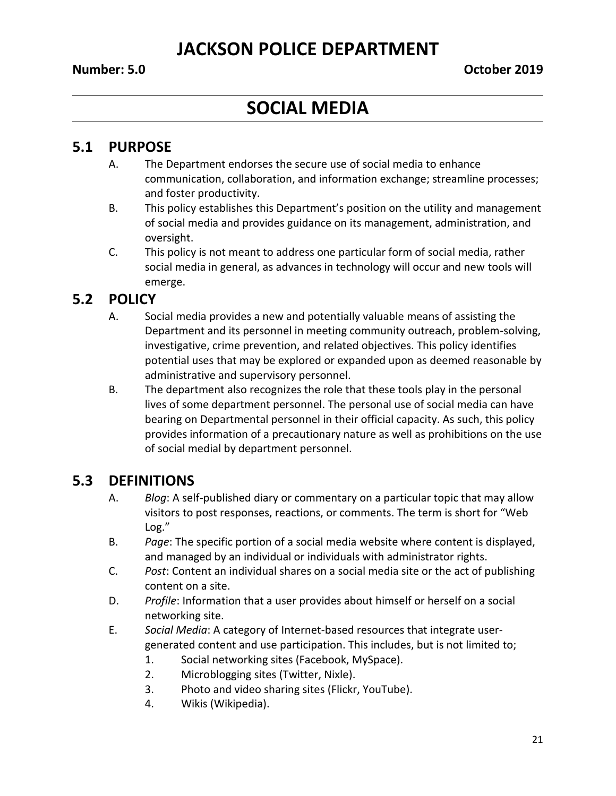# **SOCIAL MEDIA**

#### **5.1 PURPOSE**

- A. The Department endorses the secure use of social media to enhance communication, collaboration, and information exchange; streamline processes; and foster productivity.
- B. This policy establishes this Department's position on the utility and management of social media and provides guidance on its management, administration, and oversight.
- C. This policy is not meant to address one particular form of social media, rather social media in general, as advances in technology will occur and new tools will emerge.

## **5.2 POLICY**

- A. Social media provides a new and potentially valuable means of assisting the Department and its personnel in meeting community outreach, problem-solving, investigative, crime prevention, and related objectives. This policy identifies potential uses that may be explored or expanded upon as deemed reasonable by administrative and supervisory personnel.
- B. The department also recognizes the role that these tools play in the personal lives of some department personnel. The personal use of social media can have bearing on Departmental personnel in their official capacity. As such, this policy provides information of a precautionary nature as well as prohibitions on the use of social medial by department personnel.

## **5.3 DEFINITIONS**

- A. *Blog*: A self-published diary or commentary on a particular topic that may allow visitors to post responses, reactions, or comments. The term is short for "Web Log."
- B. *Page*: The specific portion of a social media website where content is displayed, and managed by an individual or individuals with administrator rights.
- C. *Post*: Content an individual shares on a social media site or the act of publishing content on a site.
- D. *Profile*: Information that a user provides about himself or herself on a social networking site.
- E. *Social Media*: A category of Internet-based resources that integrate usergenerated content and use participation. This includes, but is not limited to;
	- 1. Social networking sites (Facebook, MySpace).
	- 2. Microblogging sites (Twitter, Nixle).
	- 3. Photo and video sharing sites (Flickr, YouTube).
	- 4. Wikis (Wikipedia).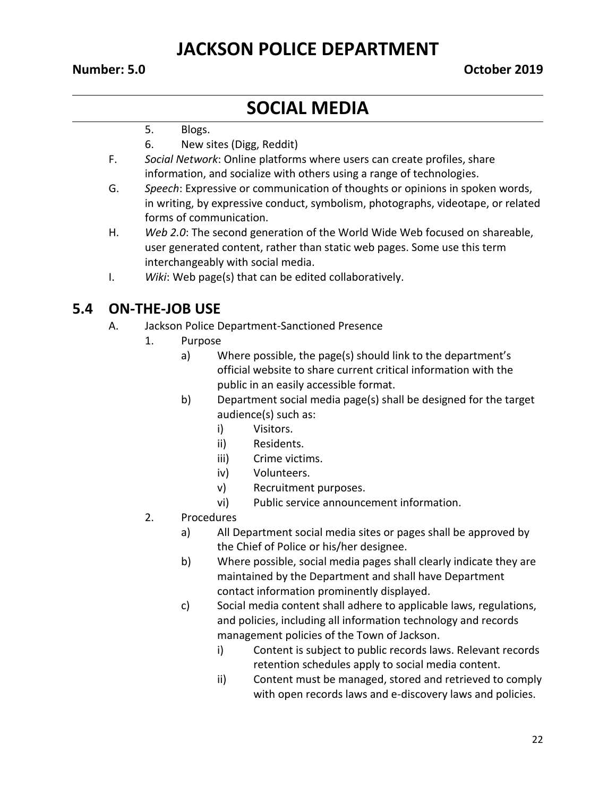#### **Number: 5.0 October 2019**

## **SOCIAL MEDIA**

- 5. Blogs.
- 6. New sites (Digg, Reddit)
- F. *Social Network*: Online platforms where users can create profiles, share information, and socialize with others using a range of technologies.
- G. *Speech*: Expressive or communication of thoughts or opinions in spoken words, in writing, by expressive conduct, symbolism, photographs, videotape, or related forms of communication.
- H. *Web 2.0*: The second generation of the World Wide Web focused on shareable, user generated content, rather than static web pages. Some use this term interchangeably with social media.
- I. *Wiki*: Web page(s) that can be edited collaboratively.

#### **5.4 ON-THE-JOB USE**

- A. Jackson Police Department-Sanctioned Presence
	- 1. Purpose
		- a) Where possible, the page(s) should link to the department's official website to share current critical information with the public in an easily accessible format.
		- b) Department social media page(s) shall be designed for the target audience(s) such as:
			- i) Visitors.
			- ii) Residents.
			- iii) Crime victims.
			- iv) Volunteers.
			- v) Recruitment purposes.
			- vi) Public service announcement information.
	- 2. Procedures
		- a) All Department social media sites or pages shall be approved by the Chief of Police or his/her designee.
		- b) Where possible, social media pages shall clearly indicate they are maintained by the Department and shall have Department contact information prominently displayed.
		- c) Social media content shall adhere to applicable laws, regulations, and policies, including all information technology and records management policies of the Town of Jackson.
			- i) Content is subject to public records laws. Relevant records retention schedules apply to social media content.
			- ii) Content must be managed, stored and retrieved to comply with open records laws and e-discovery laws and policies.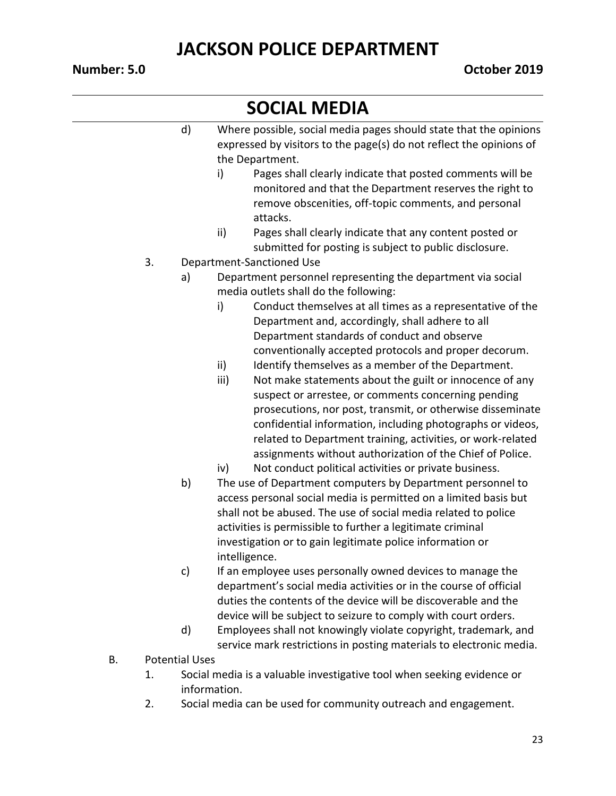# **SOCIAL MEDIA**

|    | d) | Where possible, social media pages should state that the opinions<br>expressed by visitors to the page(s) do not reflect the opinions of<br>the Department.                                    |
|----|----|------------------------------------------------------------------------------------------------------------------------------------------------------------------------------------------------|
|    |    | Pages shall clearly indicate that posted comments will be<br>i)<br>monitored and that the Department reserves the right to<br>remove obscenities, off-topic comments, and personal<br>attacks. |
|    |    | ii)<br>Pages shall clearly indicate that any content posted or<br>submitted for posting is subject to public disclosure.                                                                       |
| 3. |    | Department-Sanctioned Use                                                                                                                                                                      |
|    | a) | Department personnel representing the department via social                                                                                                                                    |
|    |    | media outlets shall do the following:                                                                                                                                                          |
|    |    | Conduct themselves at all times as a representative of the<br>i)                                                                                                                               |
|    |    | Department and, accordingly, shall adhere to all                                                                                                                                               |
|    |    | Department standards of conduct and observe                                                                                                                                                    |
|    |    | conventionally accepted protocols and proper decorum.                                                                                                                                          |
|    |    | Identify themselves as a member of the Department.<br>ii)                                                                                                                                      |
|    |    | iii)<br>Not make statements about the guilt or innocence of any                                                                                                                                |
|    |    | suspect or arrestee, or comments concerning pending                                                                                                                                            |
|    |    | prosecutions, nor post, transmit, or otherwise disseminate                                                                                                                                     |
|    |    | confidential information, including photographs or videos,                                                                                                                                     |
|    |    | related to Department training, activities, or work-related                                                                                                                                    |
|    |    | assignments without authorization of the Chief of Police.                                                                                                                                      |
|    |    | Not conduct political activities or private business.<br>iv)                                                                                                                                   |
|    | b) | The use of Department computers by Department personnel to                                                                                                                                     |
|    |    | access personal social media is permitted on a limited basis but                                                                                                                               |
|    |    | shall not be abused. The use of social media related to police<br>activities is permissible to further a legitimate criminal                                                                   |
|    |    | investigation or to gain legitimate police information or                                                                                                                                      |
|    |    | intelligence.                                                                                                                                                                                  |
|    | c) | If an employee uses personally owned devices to manage the                                                                                                                                     |
|    |    | department's social media activities or in the course of official                                                                                                                              |
|    |    | duties the contents of the device will be discoverable and the                                                                                                                                 |
|    |    | device will be subject to seizure to comply with court orders.                                                                                                                                 |
|    | d) | Employees shall not knowingly violate copyright, trademark, and                                                                                                                                |
|    |    | service mark restrictions in posting materials to electronic media.                                                                                                                            |

- B. Potential Uses
	- 1. Social media is a valuable investigative tool when seeking evidence or information.
	- 2. Social media can be used for community outreach and engagement.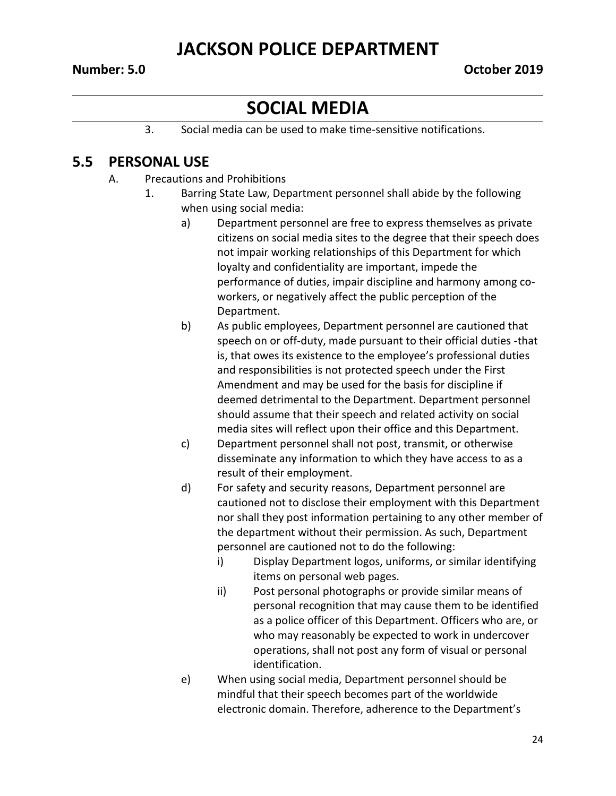#### **Number: 5.0 October 2019**

## **SOCIAL MEDIA**

3. Social media can be used to make time-sensitive notifications.

### **5.5 PERSONAL USE**

- A. Precautions and Prohibitions
	- 1. Barring State Law, Department personnel shall abide by the following when using social media:
		- a) Department personnel are free to express themselves as private citizens on social media sites to the degree that their speech does not impair working relationships of this Department for which loyalty and confidentiality are important, impede the performance of duties, impair discipline and harmony among coworkers, or negatively affect the public perception of the Department.
		- b) As public employees, Department personnel are cautioned that speech on or off-duty, made pursuant to their official duties -that is, that owes its existence to the employee's professional duties and responsibilities is not protected speech under the First Amendment and may be used for the basis for discipline if deemed detrimental to the Department. Department personnel should assume that their speech and related activity on social media sites will reflect upon their office and this Department.
		- c) Department personnel shall not post, transmit, or otherwise disseminate any information to which they have access to as a result of their employment.
		- d) For safety and security reasons, Department personnel are cautioned not to disclose their employment with this Department nor shall they post information pertaining to any other member of the department without their permission. As such, Department personnel are cautioned not to do the following:
			- i) Display Department logos, uniforms, or similar identifying items on personal web pages.
			- ii) Post personal photographs or provide similar means of personal recognition that may cause them to be identified as a police officer of this Department. Officers who are, or who may reasonably be expected to work in undercover operations, shall not post any form of visual or personal identification.
		- e) When using social media, Department personnel should be mindful that their speech becomes part of the worldwide electronic domain. Therefore, adherence to the Department's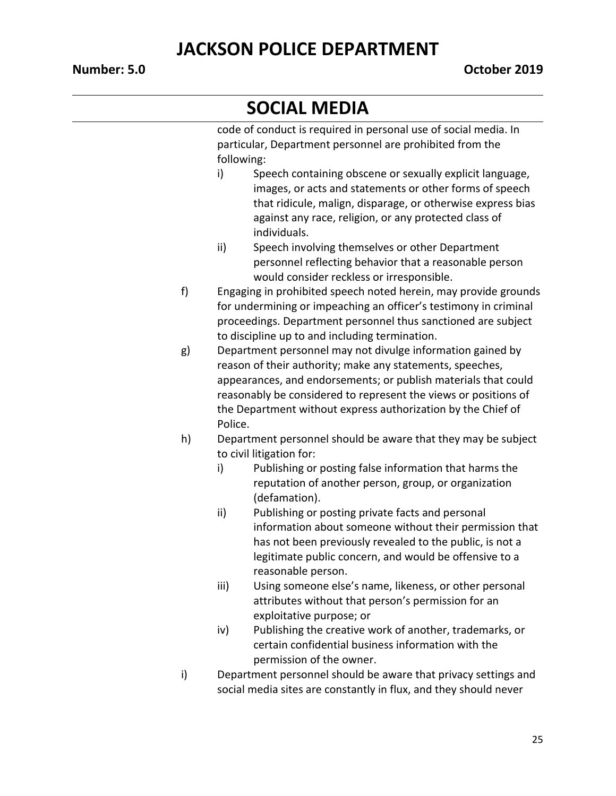# **SOCIAL MEDIA**

code of conduct is required in personal use of social media. In particular, Department personnel are prohibited from the following:

- i) Speech containing obscene or sexually explicit language, images, or acts and statements or other forms of speech that ridicule, malign, disparage, or otherwise express bias against any race, religion, or any protected class of individuals.
- ii) Speech involving themselves or other Department personnel reflecting behavior that a reasonable person would consider reckless or irresponsible.
- f) Engaging in prohibited speech noted herein, may provide grounds for undermining or impeaching an officer's testimony in criminal proceedings. Department personnel thus sanctioned are subject to discipline up to and including termination.
- g) Department personnel may not divulge information gained by reason of their authority; make any statements, speeches, appearances, and endorsements; or publish materials that could reasonably be considered to represent the views or positions of the Department without express authorization by the Chief of Police.
- h) Department personnel should be aware that they may be subject to civil litigation for:
	- i) Publishing or posting false information that harms the reputation of another person, group, or organization (defamation).
	- ii) Publishing or posting private facts and personal information about someone without their permission that has not been previously revealed to the public, is not a legitimate public concern, and would be offensive to a reasonable person.
	- iii) Using someone else's name, likeness, or other personal attributes without that person's permission for an exploitative purpose; or
	- iv) Publishing the creative work of another, trademarks, or certain confidential business information with the permission of the owner.
- i) Department personnel should be aware that privacy settings and social media sites are constantly in flux, and they should never